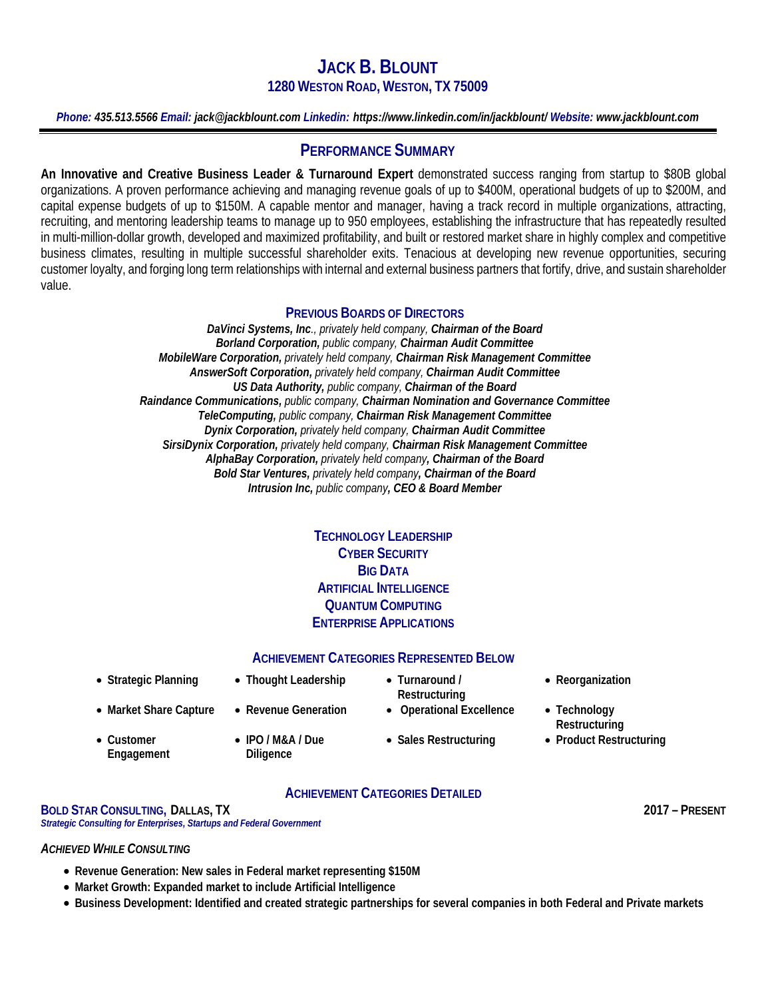# **JACK B. BLOUNT 1280 WESTON ROAD, WESTON, TX 75009**

*Phone: 435.513.5566 Email: jack@jackblount.com Linkedin: https://www.linkedin.com/in/jackblount/ Website: www.jackblount.com*

# **PERFORMANCE SUMMARY**

**An Innovative and Creative Business Leader & Turnaround Expert** demonstrated success ranging from startup to \$80B global organizations. A proven performance achieving and managing revenue goals of up to \$400M, operational budgets of up to \$200M, and capital expense budgets of up to \$150M. A capable mentor and manager, having a track record in multiple organizations, attracting, recruiting, and mentoring leadership teams to manage up to 950 employees, establishing the infrastructure that has repeatedly resulted in multi-million-dollar growth, developed and maximized profitability, and built or restored market share in highly complex and competitive business climates, resulting in multiple successful shareholder exits. Tenacious at developing new revenue opportunities, securing customer loyalty, and forging long term relationships with internal and external business partners that fortify, drive, and sustain shareholder value.

## **PREVIOUS BOARDS OF DIRECTORS**

*DaVinci Systems, Inc., privately held company, Chairman of the Board Borland Corporation, public company, Chairman Audit Committee MobileWare Corporation, privately held company, Chairman Risk Management Committee AnswerSoft Corporation, privately held company, Chairman Audit Committee US Data Authority, public company, Chairman of the Board Raindance Communications, public company, Chairman Nomination and Governance Committee TeleComputing, public company, Chairman Risk Management Committee Dynix Corporation, privately held company, Chairman Audit Committee SirsiDynix Corporation, privately held company, Chairman Risk Management Committee AlphaBay Corporation, privately held company, Chairman of the Board Bold Star Ventures, privately held company, Chairman of the Board Intrusion Inc, public company, CEO & Board Member*

## **TECHNOLOGY LEADERSHIP CYBER SECURITY BIG DATA ARTIFICIAL INTELLIGENCE QUANTUM COMPUTING ENTERPRISE APPLICATIONS**

# **ACHIEVEMENT CATEGORIES REPRESENTED BELOW**

- 
- **Strategic Planning Thought Leadership Turnaround /**
- **Market Share Capture Revenue Generation Operational Excellence Technology** 
	- **IPO / M&A / Due Diligence**
- **Restructuring**
- **Reorganization**
- **Restructuring**
- **Sales Restructuring Product Restructuring**

## **ACHIEVEMENT CATEGORIES DETAILED**

**BOLD STAR CONSULTING, DALLAS, TX 2017 – PRESENT** *Strategic Consulting for Enterprises, Startups and Federal Government*

#### *ACHIEVED WHILE CONSULTING*

• **Customer Engagement**

- **Revenue Generation: New sales in Federal market representing \$150M**
- **Market Growth: Expanded market to include Artificial Intelligence**
- **Business Development: Identified and created strategic partnerships for several companies in both Federal and Private markets**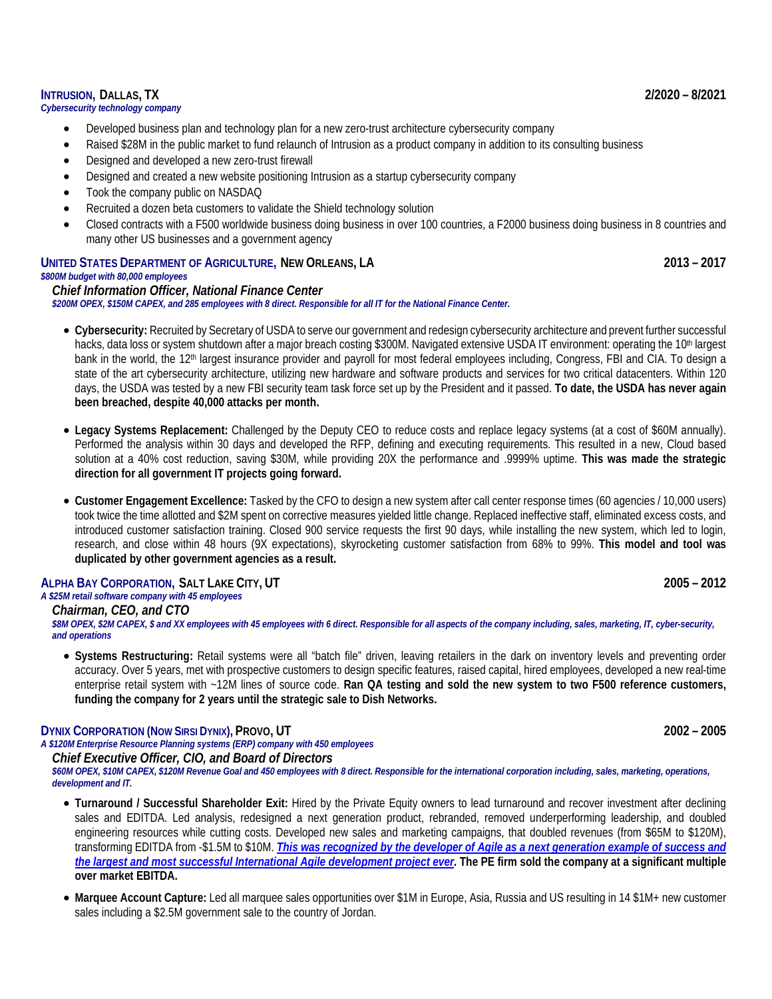#### **INTRUSION, DALLAS, TX 2/2020 – 8/2021**

### *Cybersecurity technology company*

- Developed business plan and technology plan for a new zero-trust architecture cybersecurity company
- Raised \$28M in the public market to fund relaunch of Intrusion as a product company in addition to its consulting business
- Designed and developed a new zero-trust firewall
- Designed and created a new website positioning Intrusion as a startup cybersecurity company
- Took the company public on NASDAQ
- Recruited a dozen beta customers to validate the Shield technology solution
- Closed contracts with a F500 worldwide business doing business in over 100 countries, a F2000 business doing business in 8 countries and many other US businesses and a government agency

### **UNITED STATES DEPARTMENT OF AGRICULTURE, NEW ORLEANS, LA 2013 – 2017**

#### *\$800M budget with 80,000 employees*

*Chief Information Officer, National Finance Center \$200M OPEX, \$150M CAPEX, and 285 employees with 8 direct. Responsible for all IT for the National Finance Center.*

- **Cybersecurity:** Recruited by Secretary of USDA to serve our government and redesign cybersecurity architecture and prevent further successful hacks, data loss or system shutdown after a major breach costing \$300M. Navigated extensive USDA IT environment: operating the 10<sup>th</sup> largest bank in the world, the 12<sup>th</sup> largest insurance provider and payroll for most federal employees including, Congress, FBI and CIA. To design a state of the art cybersecurity architecture, utilizing new hardware and software products and services for two critical datacenters. Within 120 days, the USDA was tested by a new FBI security team task force set up by the President and it passed. **To date, the USDA has never again been breached, despite 40,000 attacks per month.**
- **Legacy Systems Replacement:** Challenged by the Deputy CEO to reduce costs and replace legacy systems (at a cost of \$60M annually). Performed the analysis within 30 days and developed the RFP, defining and executing requirements. This resulted in a new, Cloud based solution at a 40% cost reduction, saving \$30M, while providing 20X the performance and .9999% uptime. **This was made the strategic direction for all government IT projects going forward.**
- **Customer Engagement Excellence:** Tasked by the CFO to design a new system after call center response times (60 agencies / 10,000 users) took twice the time allotted and \$2M spent on corrective measures yielded little change. Replaced ineffective staff, eliminated excess costs, and introduced customer satisfaction training. Closed 900 service requests the first 90 days, while installing the new system, which led to login, research, and close within 48 hours (9X expectations), skyrocketing customer satisfaction from 68% to 99%. **This model and tool was duplicated by other government agencies as a result.**

#### **ALPHA BAY CORPORATION, SALT LAKE CITY, UT 2005 – 2012**

# *A \$25M retail software company with 45 employees*

*Chairman, CEO, and CTO*

\$8M OPEX, \$2M CAPEX, \$ and XX employees with 45 employees with 6 direct. Responsible for all aspects of the company including, sales, marketing, IT, cyber-security, *and operations*

• **Systems Restructuring:** Retail systems were all "batch file" driven, leaving retailers in the dark on inventory levels and preventing order accuracy. Over 5 years, met with prospective customers to design specific features, raised capital, hired employees, developed a new real-time enterprise retail system with ~12M lines of source code. **Ran QA testing and sold the new system to two F500 reference customers, funding the company for 2 years until the strategic sale to Dish Networks.**

#### **DYNIX CORPORATION (NOW SIRSI DYNIX), PROVO, UT 2002 – 2005**

*A \$120M Enterprise Resource Planning systems (ERP) company with 450 employees Chief Executive Officer, CIO, and Board of Directors*

*\$60M OPEX, \$10M CAPEX, \$120M Revenue Goal and 450 employees with 8 direct. Responsible for the international corporation including, sales, marketing, operations, development and IT.*

- **Turnaround / Successful Shareholder Exit:** Hired by the Private Equity owners to lead turnaround and recover investment after declining sales and EDITDA. Led analysis, redesigned a next generation product, rebranded, removed underperforming leadership, and doubled engineering resources while cutting costs. Developed new sales and marketing campaigns, that doubled revenues (from \$65M to \$120M), transforming EDITDA from -\$1.5M to \$10M. *[This was recognized by the developer of Agile as a next generation example of success and](https://ieeexplore.ieee.org/document/4076936/)  [the largest and most successful International Agile development project ever.](https://ieeexplore.ieee.org/document/4076936/)* **The PE firm sold the company at a significant multiple over market EBITDA.**
- **Marquee Account Capture:** Led all marquee sales opportunities over \$1M in Europe, Asia, Russia and US resulting in 14 \$1M+ new customer sales including a \$2.5M government sale to the country of Jordan.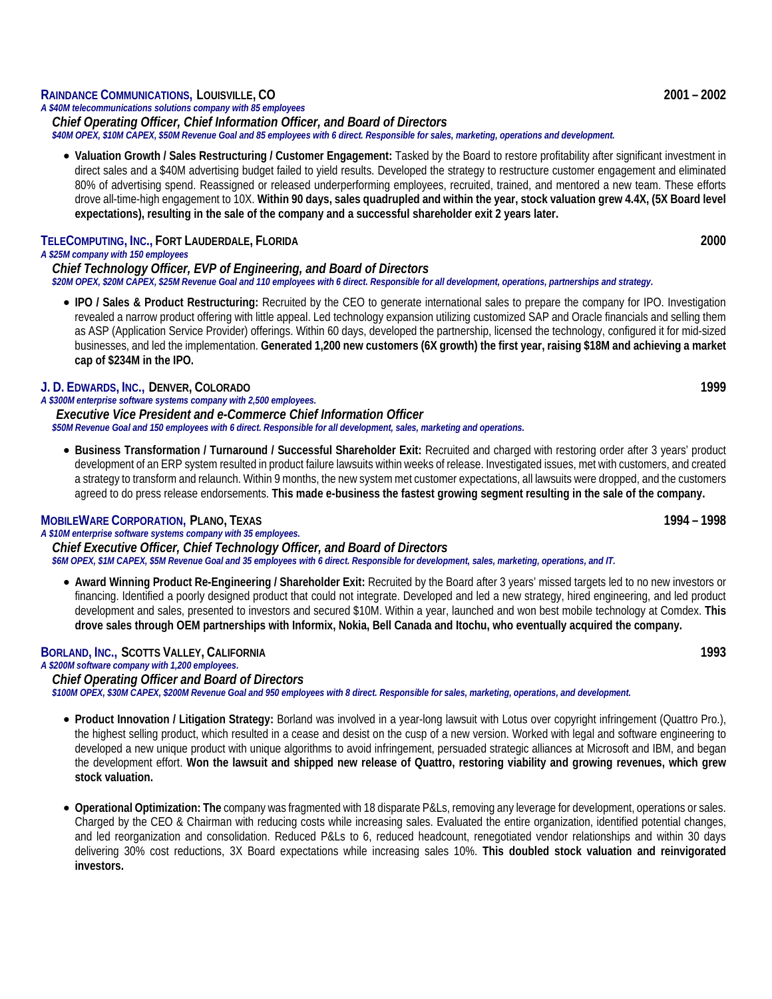#### **RAINDANCE COMMUNICATIONS, LOUISVILLE, CO 2001 – 2002**

*A \$40M telecommunications solutions company with 85 employees Chief Operating Officer, Chief Information Officer, and Board of Directors \$40M OPEX, \$10M CAPEX, \$50M Revenue Goal and 85 employees with 6 direct. Responsible for sales, marketing, operations and development.*

• **Valuation Growth / Sales Restructuring / Customer Engagement:** Tasked by the Board to restore profitability after significant investment in direct sales and a \$40M advertising budget failed to yield results. Developed the strategy to restructure customer engagement and eliminated 80% of advertising spend. Reassigned or released underperforming employees, recruited, trained, and mentored a new team. These efforts drove all-time-high engagement to 10X. **Within 90 days, sales quadrupled and within the year, stock valuation grew 4.4X, (5X Board level expectations), resulting in the sale of the company and a successful shareholder exit 2 years later.**

#### **TELECOMPUTING, INC., FORT LAUDERDALE, FLORIDA 2000**

#### *A \$25M company with 150 employees*

*Chief Technology Officer, EVP of Engineering, and Board of Directors \$20M OPEX, \$20M CAPEX, \$25M Revenue Goal and 110 employees with 6 direct. Responsible for all development, operations, partnerships and strategy.*

• **IPO / Sales & Product Restructuring:** Recruited by the CEO to generate international sales to prepare the company for IPO. Investigation revealed a narrow product offering with little appeal. Led technology expansion utilizing customized SAP and Oracle financials and selling them as ASP (Application Service Provider) offerings. Within 60 days, developed the partnership, licensed the technology, configured it for mid-sized businesses, and led the implementation. **Generated 1,200 new customers (6X growth) the first year, raising \$18M and achieving a market cap of \$234M in the IPO.**

#### **J. D. EDWARDS, INC., DENVER, COLORADO 1999**

*A \$300M enterprise software systems company with 2,500 employees. Executive Vice President and e-Commerce Chief Information Officer \$50M Revenue Goal and 150 employees with 6 direct. Responsible for all development, sales, marketing and operations.*

• **Business Transformation / Turnaround / Successful Shareholder Exit:** Recruited and charged with restoring order after 3 years' product development of an ERP system resulted in product failure lawsuits within weeks of release. Investigated issues, met with customers, and created a strategy to transform and relaunch. Within 9 months, the new system met customer expectations, all lawsuits were dropped, and the customers agreed to do press release endorsements. **This made e-business the fastest growing segment resulting in the sale of the company.**

#### **MOBILEWARE CORPORATION, PLANO, TEXAS 1994 – 1998**

*A \$10M enterprise software systems company with 35 employees. Chief Executive Officer, Chief Technology Officer, and Board of Directors \$6M OPEX, \$1M CAPEX, \$5M Revenue Goal and 35 employees with 6 direct. Responsible for development, sales, marketing, operations, and IT.*

• **Award Winning Product Re-Engineering / Shareholder Exit:** Recruited by the Board after 3 years' missed targets led to no new investors or financing. Identified a poorly designed product that could not integrate. Developed and led a new strategy, hired engineering, and led product development and sales, presented to investors and secured \$10M. Within a year, launched and won best mobile technology at Comdex. **This drove sales through OEM partnerships with Informix, Nokia, Bell Canada and Itochu, who eventually acquired the company.**

#### **BORLAND, INC., SCOTTS VALLEY, CALIFORNIA 1993**

*A \$200M software company with 1,200 employees.*

*Chief Operating Officer and Board of Directors*  $$100M$  OPEX, \$30M CAPEX, \$200M Revenue Goal and 950 employees with 8 direct. Responsible for sales, marketing, operations, and development.

- **Product Innovation / Litigation Strategy:** Borland was involved in a year-long lawsuit with Lotus over copyright infringement (Quattro Pro.), the highest selling product, which resulted in a cease and desist on the cusp of a new version. Worked with legal and software engineering to developed a new unique product with unique algorithms to avoid infringement, persuaded strategic alliances at Microsoft and IBM, and began the development effort. **Won the lawsuit and shipped new release of Quattro, restoring viability and growing revenues, which grew stock valuation.**
- **Operational Optimization: The** company was fragmented with 18 disparate P&Ls, removing any leverage for development, operations or sales. Charged by the CEO & Chairman with reducing costs while increasing sales. Evaluated the entire organization, identified potential changes, and led reorganization and consolidation. Reduced P&Ls to 6, reduced headcount, renegotiated vendor relationships and within 30 days delivering 30% cost reductions, 3X Board expectations while increasing sales 10%. **This doubled stock valuation and reinvigorated investors.**